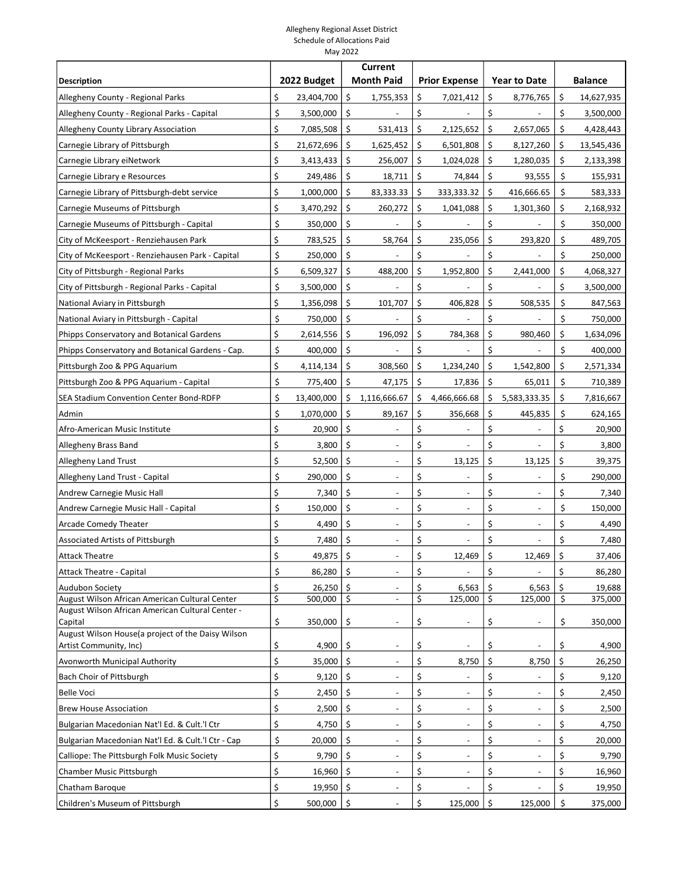|                                                             |    | <b>Current</b> |    |                          |                                    |    |                     |    |                |
|-------------------------------------------------------------|----|----------------|----|--------------------------|------------------------------------|----|---------------------|----|----------------|
| <b>Description</b>                                          |    | 2022 Budget    |    | <b>Month Paid</b>        | <b>Prior Expense</b>               |    | <b>Year to Date</b> |    | <b>Balance</b> |
| Allegheny County - Regional Parks                           | \$ | 23,404,700     | \$ | 1,755,353                | \$<br>7,021,412                    | \$ | 8,776,765           | \$ | 14,627,935     |
| Allegheny County - Regional Parks - Capital                 | \$ | 3,500,000      | \$ |                          | \$                                 | \$ |                     | \$ | 3,500,000      |
| Allegheny County Library Association                        | \$ | 7,085,508      | \$ | 531,413                  | \$<br>2,125,652                    | Ś  | 2,657,065           | \$ | 4,428,443      |
| Carnegie Library of Pittsburgh                              | \$ | 21,672,696     | \$ | 1,625,452                | \$<br>6,501,808                    | \$ | 8,127,260           | \$ | 13,545,436     |
| Carnegie Library eiNetwork                                  | \$ | 3,413,433      | \$ | 256,007                  | \$<br>1,024,028                    | \$ | 1,280,035           | \$ | 2,133,398      |
| Carnegie Library e Resources                                | \$ | 249,486        | \$ | 18,711                   | \$<br>74,844                       | \$ | 93,555              | \$ | 155,931        |
| Carnegie Library of Pittsburgh-debt service                 | \$ | 1,000,000      | \$ | 83,333.33                | \$<br>333,333.32                   | \$ | 416,666.65          | \$ | 583,333        |
| Carnegie Museums of Pittsburgh                              | \$ | 3,470,292      | \$ | 260,272                  | \$<br>1,041,088                    | \$ | 1,301,360           | \$ | 2,168,932      |
| Carnegie Museums of Pittsburgh - Capital                    | \$ | 350,000        | \$ |                          | \$                                 | \$ |                     | \$ | 350,000        |
| City of McKeesport - Renziehausen Park                      | \$ | 783,525        | \$ | 58,764                   | \$<br>235,056                      | \$ | 293,820             | \$ | 489,705        |
| City of McKeesport - Renziehausen Park - Capital            | \$ | 250,000        | \$ |                          | \$                                 | \$ |                     | \$ | 250,000        |
| City of Pittsburgh - Regional Parks                         | \$ | 6,509,327      | Ś  | 488,200                  | \$<br>1,952,800                    | \$ | 2,441,000           | \$ | 4,068,327      |
| City of Pittsburgh - Regional Parks - Capital               | \$ | 3,500,000      | \$ |                          | \$                                 | \$ |                     | \$ | 3,500,000      |
| National Aviary in Pittsburgh                               | \$ | 1,356,098      | \$ | 101,707                  | \$<br>406,828                      | \$ | 508,535             | \$ | 847,563        |
| National Aviary in Pittsburgh - Capital                     | \$ | 750,000        | \$ |                          | \$                                 | \$ |                     | \$ | 750,000        |
| Phipps Conservatory and Botanical Gardens                   | \$ | 2,614,556      | \$ | 196,092                  | \$<br>784,368                      | \$ | 980,460             | \$ | 1,634,096      |
| Phipps Conservatory and Botanical Gardens - Cap.            | \$ | 400,000        | \$ |                          | \$                                 | \$ |                     | \$ | 400,000        |
| Pittsburgh Zoo & PPG Aquarium                               | \$ | 4,114,134      | \$ | 308,560                  | \$<br>1,234,240                    | \$ | 1,542,800           | \$ | 2,571,334      |
| Pittsburgh Zoo & PPG Aquarium - Capital                     | \$ | 775,400        | \$ | 47,175                   | \$<br>17,836                       | \$ | 65,011              | \$ | 710,389        |
| SEA Stadium Convention Center Bond-RDFP                     | \$ | 13,400,000     | Ś. | 1,116,666.67             | \$<br>4,466,666.68                 | \$ | 5,583,333.35        | \$ | 7,816,667      |
| Admin                                                       | \$ | 1,070,000      | \$ | 89,167                   | \$<br>356,668                      | \$ | 445,835             | \$ | 624,165        |
| Afro-American Music Institute                               | \$ | 20,900         | \$ |                          | \$                                 | \$ |                     | \$ | 20,900         |
| Allegheny Brass Band                                        | \$ | 3,800          | \$ | $\overline{\phantom{a}}$ | \$<br>$\overline{a}$               | \$ |                     | \$ | 3,800          |
| Allegheny Land Trust                                        | \$ | 52,500         | \$ |                          | \$<br>13,125                       | \$ | 13,125              | \$ | 39,375         |
| Allegheny Land Trust - Capital                              | \$ | 290,000        | \$ | $\blacksquare$           | \$<br>$\overline{\phantom{a}}$     | \$ |                     | \$ | 290,000        |
| Andrew Carnegie Music Hall                                  | \$ | 7,340          | \$ | $\overline{\phantom{a}}$ | \$<br>$\overline{\phantom{a}}$     | \$ |                     | \$ | 7,340          |
| Andrew Carnegie Music Hall - Capital                        | \$ | 150,000        | \$ |                          | \$<br>$\overline{\phantom{a}}$     | \$ |                     | \$ | 150,000        |
| <b>Arcade Comedy Theater</b>                                | \$ | 4,490          | \$ |                          | \$                                 | \$ |                     | \$ | 4,490          |
| Associated Artists of Pittsburgh                            | \$ | 7,480          | \$ |                          | \$                                 | \$ |                     | \$ | 7,480          |
| <b>Attack Theatre</b>                                       | Ś  | 49,875         | \$ |                          | \$<br>12,469                       | \$ | 12,469              | \$ | 37,406         |
| Attack Theatre - Capital                                    | \$ | 86,280         | \$ | $\overline{\phantom{a}}$ | \$<br>$\overline{\phantom{a}}$     | \$ |                     | \$ | 86,280         |
| <b>Audubon Society</b>                                      | \$ | 26,250         | Ŝ. |                          | \$<br>6,563                        | \$ | 6,563               | \$ | 19,688         |
| August Wilson African American Cultural Center              | \$ | 500,000        | \$ | $\overline{\phantom{a}}$ | \$<br>125,000                      | \$ | 125,000             | \$ | 375,000        |
| August Wilson African American Cultural Center -<br>Capital | \$ | 350,000        | \$ |                          | \$<br>$\qquad \qquad \blacksquare$ | \$ |                     | \$ | 350,000        |
| August Wilson House(a project of the Daisy Wilson           |    |                |    |                          |                                    |    |                     |    |                |
| Artist Community, Inc)                                      | \$ | 4,900          | \$ | $\overline{\phantom{m}}$ | \$                                 | \$ |                     | \$ | 4,900          |
| Avonworth Municipal Authority                               | \$ | 35,000         | \$ |                          | \$<br>8,750                        | \$ | 8,750               | \$ | 26,250         |
| Bach Choir of Pittsburgh                                    | \$ | 9,120          | \$ |                          | \$                                 | \$ |                     | \$ | 9,120          |
| <b>Belle Voci</b>                                           | \$ | 2,450          | \$ | $\overline{\phantom{a}}$ | \$<br>$\overline{\phantom{a}}$     | \$ |                     | \$ | 2,450          |
| <b>Brew House Association</b>                               | \$ | 2,500          | \$ |                          | \$                                 | \$ |                     | \$ | 2,500          |
| Bulgarian Macedonian Nat'l Ed. & Cult.'I Ctr                | \$ | 4,750          | \$ |                          | \$                                 | \$ |                     | \$ | 4,750          |
| Bulgarian Macedonian Nat'l Ed. & Cult.'l Ctr - Cap          | \$ | 20,000         | \$ | $\blacksquare$           | \$<br>$\overline{\phantom{a}}$     | \$ |                     | \$ | 20,000         |
| Calliope: The Pittsburgh Folk Music Society                 | \$ | 9,790          | \$ |                          | \$<br>$\overline{\phantom{a}}$     | \$ |                     | \$ | 9,790          |
| Chamber Music Pittsburgh                                    | \$ | 16,960         | \$ |                          | \$<br>$\overline{\phantom{0}}$     | \$ |                     | \$ | 16,960         |
| Chatham Baroque                                             | \$ | 19,950         | \$ |                          | \$                                 | \$ |                     | \$ | 19,950         |
| Children's Museum of Pittsburgh                             | \$ | 500,000        | \$ |                          | \$<br>125,000                      | \$ | 125,000             | \$ | 375,000        |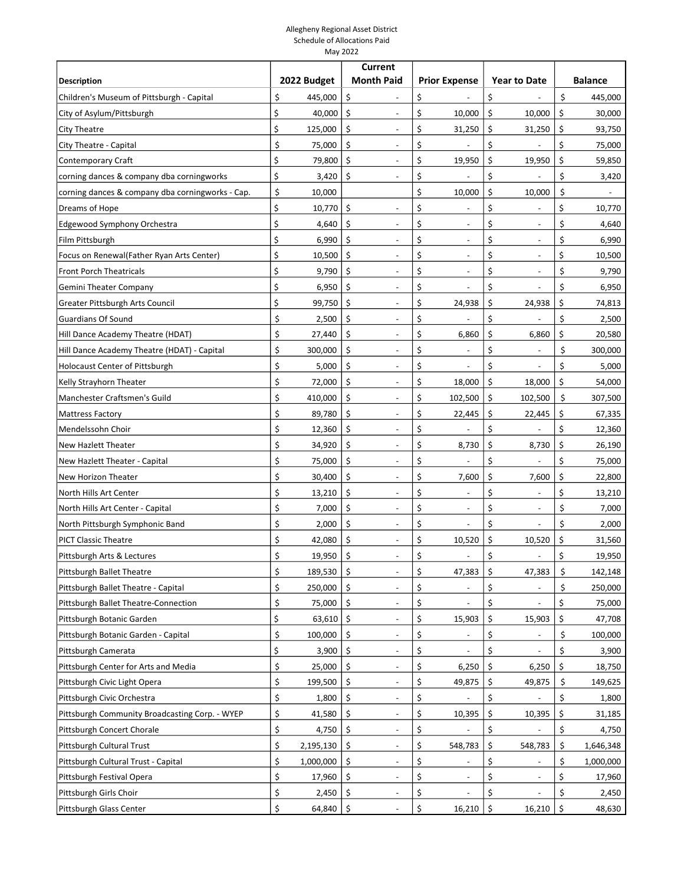|                                                  |                 | <b>Current</b>                     |                                |                     |    |                |
|--------------------------------------------------|-----------------|------------------------------------|--------------------------------|---------------------|----|----------------|
| <b>Description</b>                               | 2022 Budget     | <b>Month Paid</b>                  | <b>Prior Expense</b>           | <b>Year to Date</b> |    | <b>Balance</b> |
| Children's Museum of Pittsburgh - Capital        | \$<br>445,000   | \$                                 | \$                             | \$                  | \$ | 445,000        |
| City of Asylum/Pittsburgh                        | \$<br>40,000    | \$                                 | \$<br>10,000                   | \$<br>10,000        | \$ | 30,000         |
| City Theatre                                     | \$<br>125,000   | \$<br>$\overline{\phantom{a}}$     | \$<br>31,250                   | \$<br>31,250        | \$ | 93,750         |
| City Theatre - Capital                           | \$<br>75,000    | \$                                 | \$                             | \$                  | \$ | 75,000         |
| Contemporary Craft                               | \$<br>79,800    | \$                                 | \$<br>19,950                   | \$<br>19,950        | \$ | 59,850         |
| corning dances & company dba corningworks        | \$<br>3,420     | \$<br>$\overline{\phantom{a}}$     | \$                             | \$                  | \$ | 3,420          |
| corning dances & company dba corningworks - Cap. | \$<br>10,000    |                                    | \$<br>10,000                   | \$<br>10,000        | \$ |                |
| Dreams of Hope                                   | \$<br>10,770    | \$                                 | \$                             | \$                  | \$ | 10,770         |
| Edgewood Symphony Orchestra                      | Ś<br>4,640      | \$<br>$\overline{\phantom{a}}$     | \$<br>$\overline{\phantom{a}}$ | \$<br>L.            | \$ | 4,640          |
| Film Pittsburgh                                  | \$<br>6,990     | \$                                 | \$<br>$\overline{\phantom{a}}$ | \$                  | \$ | 6,990          |
| Focus on Renewal(Father Ryan Arts Center)        | \$<br>10,500    | \$                                 | \$                             | \$                  | \$ | 10,500         |
| <b>Front Porch Theatricals</b>                   | \$<br>9,790     | \$                                 | \$<br>$\overline{a}$           | \$                  | \$ | 9,790          |
| Gemini Theater Company                           | \$<br>6,950     | \$<br>$\overline{\phantom{a}}$     | \$<br>$\overline{a}$           | \$                  | \$ | 6,950          |
| Greater Pittsburgh Arts Council                  | \$<br>99,750    | \$<br>$\overline{\phantom{m}}$     | \$<br>24,938                   | \$<br>24,938        | \$ | 74,813         |
| <b>Guardians Of Sound</b>                        | \$<br>2,500     | \$<br>$\overline{\phantom{a}}$     | \$                             | \$                  | \$ | 2,500          |
| Hill Dance Academy Theatre (HDAT)                | \$<br>27,440    | \$                                 | \$<br>6,860                    | \$<br>6,860         | \$ | 20,580         |
| Hill Dance Academy Theatre (HDAT) - Capital      | \$<br>300,000   | \$<br>$\overline{\phantom{a}}$     | \$                             | \$                  | \$ | 300,000        |
| Holocaust Center of Pittsburgh                   | \$<br>5,000     | \$                                 | \$                             | \$                  | \$ | 5,000          |
| Kelly Strayhorn Theater                          | \$<br>72,000    | \$                                 | \$<br>18,000                   | \$<br>18,000        | \$ | 54,000         |
| Manchester Craftsmen's Guild                     | \$<br>410,000   | \$<br>$\overline{\phantom{a}}$     | \$<br>102,500                  | \$<br>102,500       | Ś. | 307,500        |
| <b>Mattress Factory</b>                          | \$<br>89,780    | \$<br>$\overline{\phantom{a}}$     | \$<br>22,445                   | \$<br>22,445        | \$ | 67,335         |
| Mendelssohn Choir                                | \$<br>12,360    | \$                                 | \$                             | \$                  | \$ | 12,360         |
| New Hazlett Theater                              | \$<br>34,920    | \$                                 | \$<br>8,730                    | \$<br>8,730         | \$ | 26,190         |
| New Hazlett Theater - Capital                    | \$<br>75,000    | \$<br>$\overline{\phantom{a}}$     | \$<br>$\overline{a}$           | \$                  | \$ | 75,000         |
| New Horizon Theater                              | \$<br>30,400    | \$<br>$\overline{\phantom{a}}$     | \$<br>7,600                    | \$<br>7,600         | \$ | 22,800         |
| North Hills Art Center                           | \$<br>13,210    | \$                                 | \$                             | \$                  | \$ | 13,210         |
| North Hills Art Center - Capital                 | \$<br>7,000     | \$<br>$\overline{\phantom{a}}$     | \$<br>$\overline{a}$           | \$                  | \$ | 7,000          |
| North Pittsburgh Symphonic Band                  | \$<br>2,000     | \$<br>$\overline{\phantom{a}}$     | \$<br>$\overline{\phantom{a}}$ | \$                  | \$ | 2,000          |
| <b>PICT Classic Theatre</b>                      | Ś<br>42,080     | \$                                 | \$<br>10,520                   | \$<br>10,520        | \$ | 31,560         |
| Pittsburgh Arts & Lectures                       | Ś<br>19,950     | \$                                 | \$                             | \$                  | \$ | 19,950         |
| Pittsburgh Ballet Theatre                        | \$<br>189,530   | \$<br>$\overline{\phantom{a}}$     | \$<br>47,383                   | \$<br>47,383        | \$ | 142,148        |
| Pittsburgh Ballet Theatre - Capital              | \$<br>250,000   | \$                                 | \$                             | \$                  | \$ | 250,000        |
| Pittsburgh Ballet Theatre-Connection             | \$<br>75,000    | \$                                 | \$                             | \$                  | \$ | 75,000         |
| Pittsburgh Botanic Garden                        | \$<br>63,610    | \$<br>$\overline{\phantom{a}}$     | \$<br>15,903                   | \$<br>15,903        | \$ | 47,708         |
| Pittsburgh Botanic Garden - Capital              | \$<br>100,000   | \$                                 | \$                             | \$                  | \$ | 100,000        |
| Pittsburgh Camerata                              | \$<br>3,900     | \$                                 | \$                             | \$                  | \$ | 3,900          |
| Pittsburgh Center for Arts and Media             | \$<br>25,000    | \$                                 | \$<br>6,250                    | \$<br>6,250         | \$ | 18,750         |
| Pittsburgh Civic Light Opera                     | \$<br>199,500   | \$<br>$\overline{\phantom{a}}$     | \$<br>49,875                   | \$<br>49,875        | \$ | 149,625        |
| Pittsburgh Civic Orchestra                       | \$<br>1,800     | \$<br>$\qquad \qquad \blacksquare$ | \$                             | \$                  | \$ | 1,800          |
| Pittsburgh Community Broadcasting Corp. - WYEP   | \$<br>41,580    | \$                                 | \$<br>10,395                   | \$<br>10,395        | \$ | 31,185         |
| Pittsburgh Concert Chorale                       | \$<br>4,750     | \$                                 | \$                             | \$                  | \$ | 4,750          |
| Pittsburgh Cultural Trust                        | \$<br>2,195,130 | \$<br>$\qquad \qquad \blacksquare$ | \$<br>548,783                  | \$<br>548,783       | \$ | 1,646,348      |
| Pittsburgh Cultural Trust - Capital              | \$<br>1,000,000 | \$                                 | \$                             | \$                  | \$ | 1,000,000      |
| Pittsburgh Festival Opera                        | \$<br>17,960    | \$                                 | \$<br>$\overline{a}$           | \$                  | \$ | 17,960         |
| Pittsburgh Girls Choir                           | \$<br>2,450     | $\zeta$                            | \$                             | \$                  | \$ | 2,450          |
| Pittsburgh Glass Center                          | \$<br>64,840    | Ŝ.                                 | \$<br>16,210                   | \$<br>16,210        | \$ | 48,630         |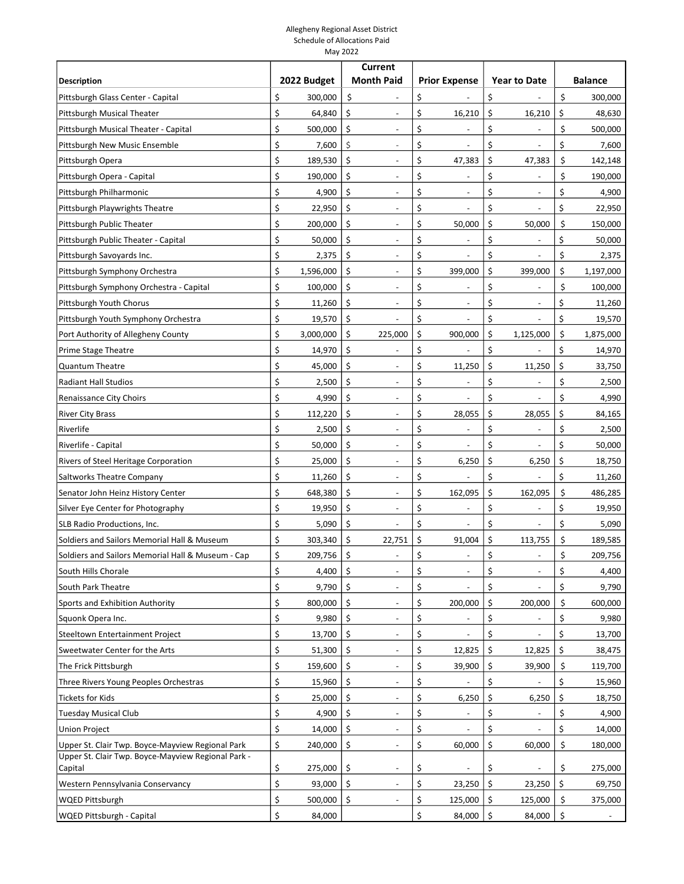|                                                    |                         | <b>Current</b>                     |                                |                                |          |                |
|----------------------------------------------------|-------------------------|------------------------------------|--------------------------------|--------------------------------|----------|----------------|
| <b>Description</b>                                 | 2022 Budget             | <b>Month Paid</b>                  | <b>Prior Expense</b>           | <b>Year to Date</b>            |          | <b>Balance</b> |
| Pittsburgh Glass Center - Capital                  | \$<br>300,000           | \$                                 | \$                             | \$                             | \$       | 300,000        |
| Pittsburgh Musical Theater                         | \$<br>64,840            | \$                                 | \$<br>16,210                   | \$<br>16,210                   | \$       | 48,630         |
| Pittsburgh Musical Theater - Capital               | \$<br>500,000           | \$<br>$\overline{\phantom{a}}$     | \$<br>$\overline{\phantom{m}}$ | \$                             | \$       | 500,000        |
| Pittsburgh New Music Ensemble                      | \$<br>7,600             | \$                                 | \$                             | \$                             | \$       | 7,600          |
| Pittsburgh Opera                                   | \$<br>189,530           | \$                                 | \$<br>47,383                   | \$<br>47,383                   | \$       | 142,148        |
| Pittsburgh Opera - Capital                         | \$<br>190,000           | \$<br>$\overline{\phantom{a}}$     | \$<br>$\overline{a}$           | \$                             | \$       | 190,000        |
| Pittsburgh Philharmonic                            | \$<br>4,900             | \$                                 | \$                             | \$                             | \$       | 4,900          |
| Pittsburgh Playwrights Theatre                     | \$<br>22,950            | \$                                 | \$                             | \$                             | \$       | 22,950         |
| Pittsburgh Public Theater                          | \$<br>200,000           | \$                                 | \$<br>50,000                   | \$<br>50,000                   | \$       | 150,000        |
| Pittsburgh Public Theater - Capital                | \$<br>50,000            | \$<br>$\overline{\phantom{a}}$     | \$                             | \$                             | \$       | 50,000         |
| Pittsburgh Savoyards Inc.                          | \$<br>2,375             | \$<br>$\overline{\phantom{a}}$     | \$                             | \$                             | \$       | 2,375          |
| Pittsburgh Symphony Orchestra                      | \$<br>1,596,000         | \$                                 | \$<br>399,000                  | \$<br>399,000                  | \$       | 1,197,000      |
| Pittsburgh Symphony Orchestra - Capital            | \$<br>100,000           | \$                                 | \$                             | \$                             | \$       | 100,000        |
| Pittsburgh Youth Chorus                            | \$<br>11,260            | \$<br>$\overline{\phantom{m}}$     | \$<br>$\overline{\phantom{a}}$ | \$                             | \$       | 11,260         |
| Pittsburgh Youth Symphony Orchestra                | \$<br>19,570            | \$                                 | \$                             | \$                             | \$       | 19,570         |
| Port Authority of Allegheny County                 | \$<br>3,000,000         | \$<br>225,000                      | \$<br>900,000                  | \$<br>1,125,000                | \$       | 1,875,000      |
| Prime Stage Theatre                                | \$<br>14,970            | \$<br>$\overline{\phantom{m}}$     | \$                             | \$                             | \$       | 14,970         |
| <b>Quantum Theatre</b>                             | \$<br>45,000            | \$                                 | \$<br>11,250                   | \$<br>11,250                   | \$       | 33,750         |
| <b>Radiant Hall Studios</b>                        | \$<br>2,500             | \$                                 | \$                             | \$                             | \$       | 2,500          |
| Renaissance City Choirs                            | \$<br>4,990             | \$                                 | \$                             | \$                             | \$       | 4,990          |
| <b>River City Brass</b>                            | \$<br>112,220           | \$<br>$\overline{\phantom{a}}$     | \$<br>28,055                   | \$<br>28,055                   | \$       | 84,165         |
| Riverlife                                          | \$<br>2,500             | \$                                 | \$                             | \$                             | \$       | 2,500          |
| Riverlife - Capital                                | \$<br>50,000            | \$                                 | \$                             | \$                             | \$       | 50,000         |
| Rivers of Steel Heritage Corporation               | \$<br>25,000            | \$                                 | \$<br>6,250                    | \$<br>6,250                    | \$       | 18,750         |
| Saltworks Theatre Company                          | \$<br>11,260            | \$<br>$\overline{\phantom{m}}$     | \$                             | \$                             | \$       | 11,260         |
| Senator John Heinz History Center                  | \$<br>648,380           | \$                                 | \$<br>162,095                  | \$<br>162,095                  | \$       | 486,285        |
| Silver Eye Center for Photography                  | \$<br>19,950            | \$                                 | \$                             | \$                             | \$       | 19,950         |
| SLB Radio Productions, Inc.                        | \$<br>5,090             | \$<br>$\qquad \qquad \blacksquare$ | \$<br>$\overline{\phantom{m}}$ | \$                             | \$       | 5,090          |
| Soldiers and Sailors Memorial Hall & Museum        | \$<br>303,340           | \$<br>22,751                       | \$<br>91,004                   | \$<br>113,755                  | \$       | 189,585        |
| Soldiers and Sailors Memorial Hall & Museum - Cap  | \$<br>209,756           | \$                                 | \$                             | \$                             | \$       | 209,756        |
| South Hills Chorale                                | \$<br>4,400             | \$<br>$\overline{\phantom{a}}$     | \$<br>$\overline{\phantom{a}}$ | \$<br>$\overline{\phantom{a}}$ | \$       | 4,400          |
| South Park Theatre                                 | \$<br>9,790             | \$                                 | \$                             | \$                             | \$       | 9,790          |
| Sports and Exhibition Authority                    | Ś<br>800,000            | \$                                 | \$<br>200,000                  | \$<br>200,000                  | \$       | 600,000        |
| Squonk Opera Inc.                                  | \$<br>9,980             | \$<br>$\overline{a}$               | \$<br>$\overline{a}$           | \$                             | \$       | 9,980          |
| Steeltown Entertainment Project                    | \$<br>13,700            | \$                                 | \$                             | \$                             | \$       | 13,700         |
| Sweetwater Center for the Arts                     | \$<br>51,300            | \$                                 | \$<br>12,825                   | \$<br>12,825                   | \$       | 38,475         |
| The Frick Pittsburgh                               | \$<br>159,600           | \$                                 | \$<br>39,900                   | \$<br>39,900                   | \$       | 119,700        |
| Three Rivers Young Peoples Orchestras              | \$<br>15,960            | \$<br>$\overline{\phantom{a}}$     | \$                             | \$                             | \$       | 15,960         |
| Tickets for Kids                                   | \$<br>25,000            | \$<br>$\overline{\phantom{a}}$     | \$<br>6,250                    | \$<br>6,250                    | \$       | 18,750         |
| Tuesday Musical Club                               | \$<br>4,900             | \$                                 | \$                             | \$                             | \$       | 4,900          |
| <b>Union Project</b>                               | \$<br>14,000            | \$                                 | \$                             | \$                             | \$       | 14,000         |
| Upper St. Clair Twp. Boyce-Mayview Regional Park   | \$<br>240,000           | \$<br>$\overline{\phantom{m}}$     | \$<br>60,000                   | \$<br>60,000                   | \$       | 180,000        |
| Upper St. Clair Twp. Boyce-Mayview Regional Park - |                         |                                    |                                |                                |          |                |
| Capital                                            | \$<br>275,000<br>\$     | \$                                 | \$<br>\$                       | \$                             | \$<br>\$ | 275,000        |
| Western Pennsylvania Conservancy                   | 93,000<br>\$<br>500,000 | \$<br>\$                           | 23,250                         | \$<br>23,250<br>\$             | \$       | 69,750         |
| <b>WQED Pittsburgh</b>                             | Ś                       |                                    | \$<br>125,000                  | 125,000                        |          | 375,000        |
| <b>WQED Pittsburgh - Capital</b>                   | 84,000                  |                                    | \$<br>84,000                   | \$<br>84,000                   | \$       |                |